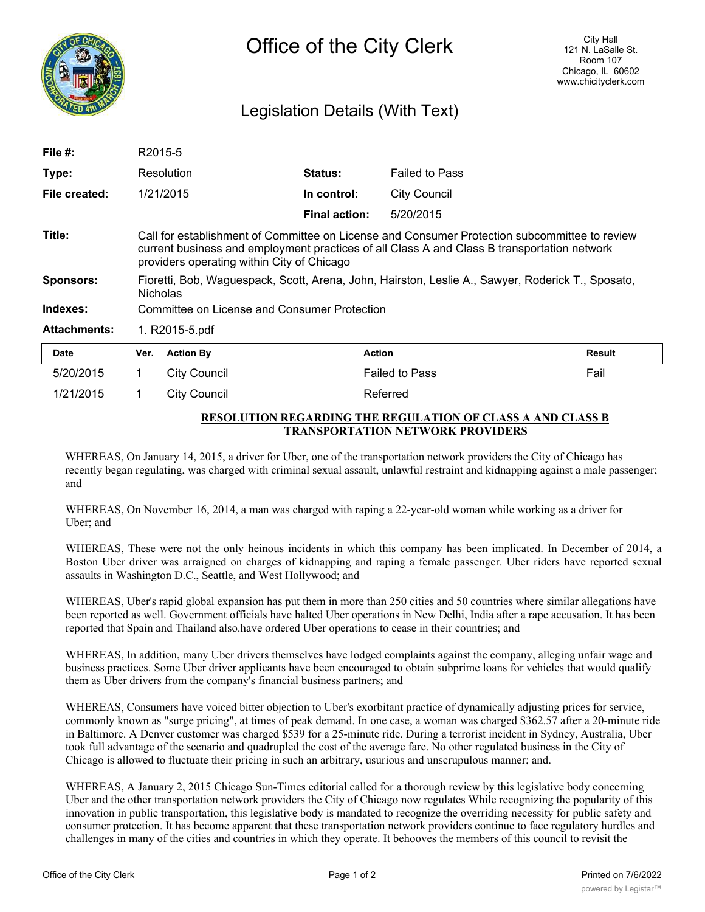

## Legislation Details (With Text)

| File $#$ :          | R2015-5                                                                                                                                                                                                                                    |                     |                      |                       |               |
|---------------------|--------------------------------------------------------------------------------------------------------------------------------------------------------------------------------------------------------------------------------------------|---------------------|----------------------|-----------------------|---------------|
| Type:               | Resolution                                                                                                                                                                                                                                 |                     | Status:              | <b>Failed to Pass</b> |               |
| File created:       |                                                                                                                                                                                                                                            | 1/21/2015           | In control:          | <b>City Council</b>   |               |
|                     |                                                                                                                                                                                                                                            |                     | <b>Final action:</b> | 5/20/2015             |               |
| Title:              | Call for establishment of Committee on License and Consumer Protection subcommittee to review<br>current business and employment practices of all Class A and Class B transportation network<br>providers operating within City of Chicago |                     |                      |                       |               |
| <b>Sponsors:</b>    | Fioretti, Bob, Waguespack, Scott, Arena, John, Hairston, Leslie A., Sawyer, Roderick T., Sposato,<br><b>Nicholas</b>                                                                                                                       |                     |                      |                       |               |
| Indexes:            | Committee on License and Consumer Protection                                                                                                                                                                                               |                     |                      |                       |               |
| <b>Attachments:</b> | 1. R2015-5.pdf                                                                                                                                                                                                                             |                     |                      |                       |               |
| <b>Date</b>         | Ver.                                                                                                                                                                                                                                       | <b>Action By</b>    | <b>Action</b>        |                       | <b>Result</b> |
| 5/20/2015           | 1                                                                                                                                                                                                                                          | <b>City Council</b> |                      | <b>Failed to Pass</b> | Fail          |
| 1/21/2015           |                                                                                                                                                                                                                                            | <b>City Council</b> |                      | Referred              |               |

## **RESOLUTION REGARDING THE REGULATION OF CLASS A AND CLASS B TRANSPORTATION NETWORK PROVIDERS**

WHEREAS, On January 14, 2015, a driver for Uber, one of the transportation network providers the City of Chicago has recently began regulating, was charged with criminal sexual assault, unlawful restraint and kidnapping against a male passenger; and

WHEREAS, On November 16, 2014, a man was charged with raping a 22-year-old woman while working as a driver for Uber; and

WHEREAS, These were not the only heinous incidents in which this company has been implicated. In December of 2014, a Boston Uber driver was arraigned on charges of kidnapping and raping a female passenger. Uber riders have reported sexual assaults in Washington D.C., Seattle, and West Hollywood; and

WHEREAS, Uber's rapid global expansion has put them in more than 250 cities and 50 countries where similar allegations have been reported as well. Government officials have halted Uber operations in New Delhi, India after a rape accusation. It has been reported that Spain and Thailand also.have ordered Uber operations to cease in their countries; and

WHEREAS, In addition, many Uber drivers themselves have lodged complaints against the company, alleging unfair wage and business practices. Some Uber driver applicants have been encouraged to obtain subprime loans for vehicles that would qualify them as Uber drivers from the company's financial business partners; and

WHEREAS, Consumers have voiced bitter objection to Uber's exorbitant practice of dynamically adjusting prices for service, commonly known as "surge pricing", at times of peak demand. In one case, a woman was charged \$362.57 after a 20-minute ride in Baltimore. A Denver customer was charged \$539 for a 25-minute ride. During a terrorist incident in Sydney, Australia, Uber took full advantage of the scenario and quadrupled the cost of the average fare. No other regulated business in the City of Chicago is allowed to fluctuate their pricing in such an arbitrary, usurious and unscrupulous manner; and.

WHEREAS, A January 2, 2015 Chicago Sun-Times editorial called for a thorough review by this legislative body concerning Uber and the other transportation network providers the City of Chicago now regulates While recognizing the popularity of this innovation in public transportation, this legislative body is mandated to recognize the overriding necessity for public safety and consumer protection. It has become apparent that these transportation network providers continue to face regulatory hurdles and challenges in many of the cities and countries in which they operate. It behooves the members of this council to revisit the